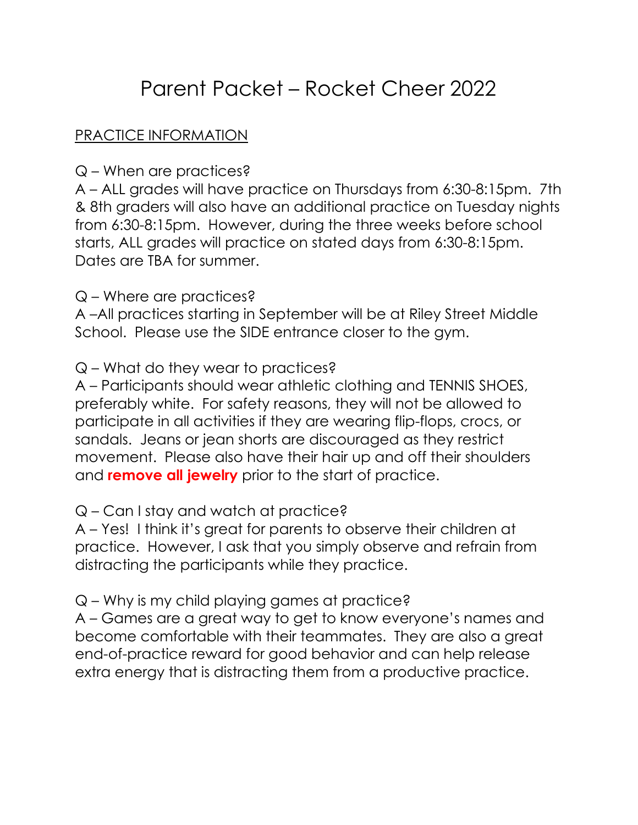# Parent Packet – Rocket Cheer 2022

## PRACTICE INFORMATION

#### Q – When are practices?

A – ALL grades will have practice on Thursdays from 6:30-8:15pm. 7th & 8th graders will also have an additional practice on Tuesday nights from 6:30-8:15pm. However, during the three weeks before school starts, ALL grades will practice on stated days from 6:30-8:15pm. Dates are TBA for summer.

#### Q – Where are practices?

A –All practices starting in September will be at Riley Street Middle School. Please use the SIDE entrance closer to the gym.

Q – What do they wear to practices?

A – Participants should wear athletic clothing and TENNIS SHOES, preferably white. For safety reasons, they will not be allowed to participate in all activities if they are wearing flip-flops, crocs, or sandals. Jeans or jean shorts are discouraged as they restrict movement. Please also have their hair up and off their shoulders and **remove all jewelry** prior to the start of practice.

## Q – Can I stay and watch at practice?

A – Yes! I think it's great for parents to observe their children at practice. However, I ask that you simply observe and refrain from distracting the participants while they practice.

Q – Why is my child playing games at practice?

A – Games are a great way to get to know everyone's names and become comfortable with their teammates. They are also a great end-of-practice reward for good behavior and can help release extra energy that is distracting them from a productive practice.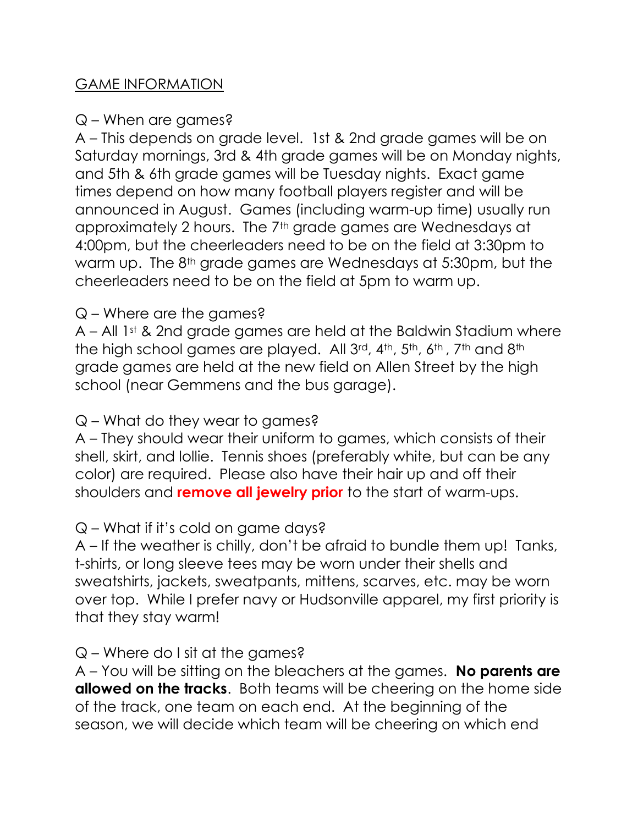## GAME INFORMATION

#### Q – When are games?

A – This depends on grade level. 1st & 2nd grade games will be on Saturday mornings, 3rd & 4th grade games will be on Monday nights, and 5th & 6th grade games will be Tuesday nights. Exact game times depend on how many football players register and will be announced in August. Games (including warm-up time) usually run approximately 2 hours. The 7<sup>th</sup> grade games are Wednesdays at 4:00pm, but the cheerleaders need to be on the field at 3:30pm to warm up. The 8th grade games are Wednesdays at 5:30pm, but the cheerleaders need to be on the field at 5pm to warm up.

## Q – Where are the games?

A – All 1st & 2nd grade games are held at the Baldwin Stadium where the high school games are played. All 3<sup>rd</sup>, 4<sup>th</sup>, 5<sup>th</sup>, 6<sup>th</sup>, 7<sup>th</sup> and 8<sup>th</sup> grade games are held at the new field on Allen Street by the high school (near Gemmens and the bus garage).

## Q – What do they wear to games?

A – They should wear their uniform to games, which consists of their shell, skirt, and lollie. Tennis shoes (preferably white, but can be any color) are required. Please also have their hair up and off their shoulders and **remove all jewelry prior** to the start of warm-ups.

## Q – What if it's cold on game days?

A – If the weather is chilly, don't be afraid to bundle them up! Tanks, t-shirts, or long sleeve tees may be worn under their shells and sweatshirts, jackets, sweatpants, mittens, scarves, etc. may be worn over top. While I prefer navy or Hudsonville apparel, my first priority is that they stay warm!

#### Q – Where do I sit at the games?

 $A$  – You will be sitting on the bleachers at the games. **No parents are allowed on the tracks.** Both teams will be cheering on the home side of the track, one team on each end. At the beginning of the season, we will decide which team will be cheering on which end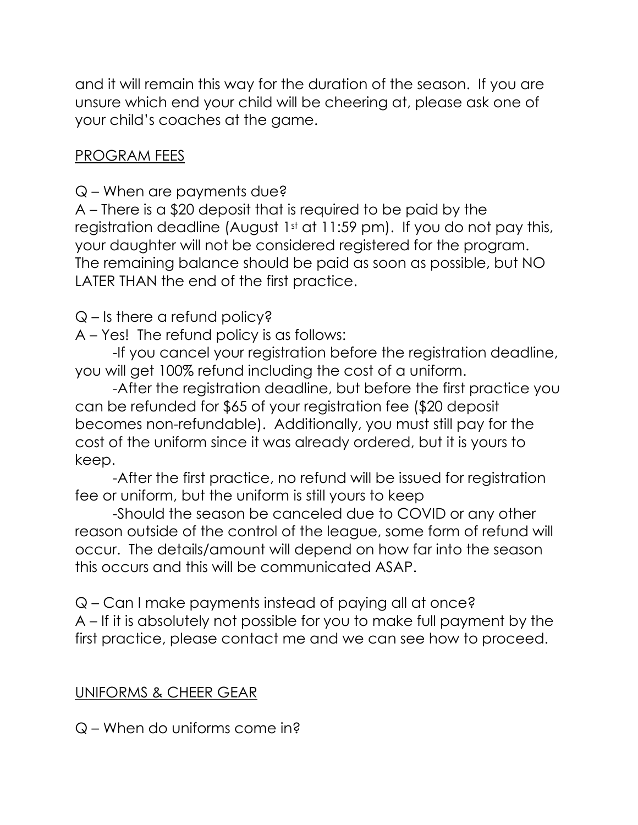and it will remain this way for the duration of the season. If you are unsure which end your child will be cheering at, please ask one of your child's coaches at the game.

## PROGRAM FEES

Q – When are payments due?

A – There is a \$20 deposit that is required to be paid by the registration deadline (August 1st at 11:59 pm). If you do not pay this, your daughter will not be considered registered for the program. The remaining balance should be paid as soon as possible, but NO LATER THAN the end of the first practice.

Q – Is there a refund policy?

A – Yes! The refund policy is as follows:

-If you cancel your registration before the registration deadline, you will get 100% refund including the cost of a uniform.

-After the registration deadline, but before the first practice you can be refunded for \$65 of your registration fee (\$20 deposit becomes non-refundable). Additionally, you must still pay for the cost of the uniform since it was already ordered, but it is yours to keep.

-After the first practice, no refund will be issued for registration fee or uniform, but the uniform is still yours to keep

-Should the season be canceled due to COVID or any other reason outside of the control of the league, some form of refund will occur. The details/amount will depend on how far into the season this occurs and this will be communicated ASAP.

Q – Can I make payments instead of paying all at once? A – If it is absolutely not possible for you to make full payment by the first practice, please contact me and we can see how to proceed.

## UNIFORMS & CHEER GEAR

Q – When do uniforms come in?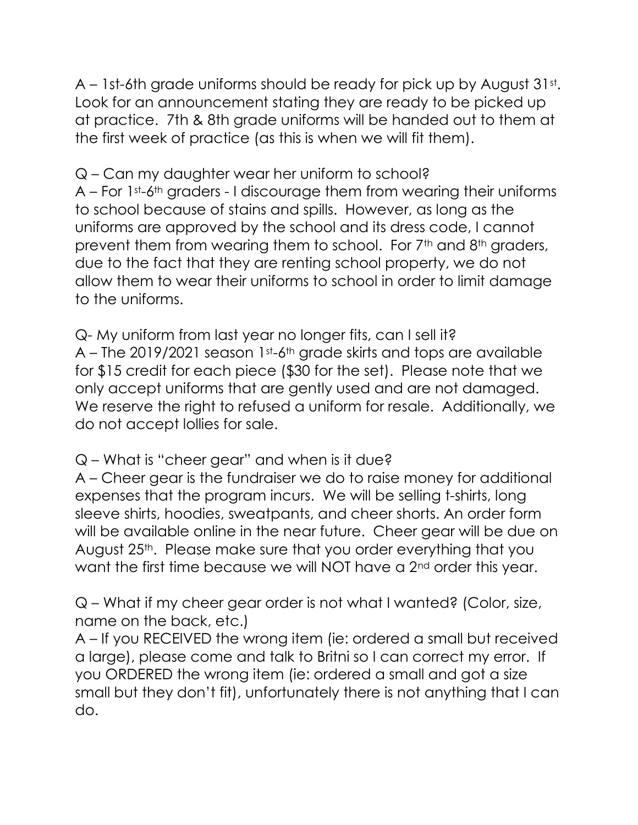A – 1st-6th grade uniforms should be ready for pick up by August  $31st$ . Look for an announcement stating they are ready to be picked up at practice. 7th & 8th grade uniforms will be handed out to them at the first week of practice (as this is when we will fit them).

Q – Can my daughter wear her uniform to school? A – For 1st-6th graders - I discourage them from wearing their uniforms to school because of stains and spills. However, as long as the uniforms are approved by the school and its dress code, I cannot prevent them from wearing them to school. For 7th and 8th graders, due to the fact that they are renting school property, we do not allow them to wear their uniforms to school in order to limit damage to the uniforms.

Q- My uniform from last year no longer fits, can I sell it? A – The 2019/2021 season 1st-6th grade skirts and tops are available for \$15 credit for each piece (\$30 for the set). Please note that we only accept uniforms that are gently used and are not damaged. We reserve the right to refused a uniform for resale. Additionally, we do not accept lollies for sale.

Q – What is "cheer gear" and when is it due?

A – Cheer gear is the fundraiser we do to raise money for additional expenses that the program incurs. We will be selling t-shirts, long sleeve shirts, hoodies, sweatpants, and cheer shorts. An order form will be available online in the near future. Cheer gear will be due on August 25<sup>th</sup>. Please make sure that you order everything that you want the first time because we will NOT have a 2nd order this year.

Q – What if my cheer gear order is not what I wanted? (Color, size, name on the back, etc.)

A – If you RECEIVED the wrong item (ie: ordered a small but received a large), please come and talk to Britni so I can correct my error. If you ORDERED the wrong item (ie: ordered a small and got a size small but they don't fit), unfortunately there is not anything that I can do.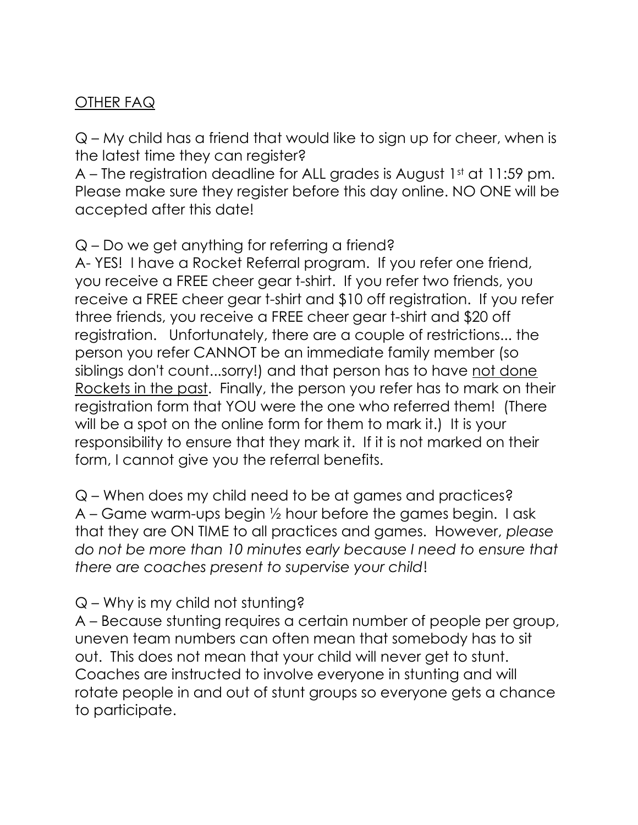# OTHER FAQ

Q – My child has a friend that would like to sign up for cheer, when is the latest time they can register?

A – The registration deadline for ALL grades is August 1st at 11:59 pm. Please make sure they register before this day online. NO ONE will be accepted after this date!

## Q – Do we get anything for referring a friend?

A- YES! I have a Rocket Referral program. If you refer one friend, you receive a FREE cheer gear t-shirt. If you refer two friends, you receive a FREE cheer gear t-shirt and \$10 off registration. If you refer three friends, you receive a FREE cheer gear t-shirt and \$20 off registration. Unfortunately, there are a couple of restrictions... the person you refer CANNOT be an immediate family member (so siblings don't count...sorry!) and that person has to have not done Rockets in the past. Finally, the person you refer has to mark on their registration form that YOU were the one who referred them! (There will be a spot on the online form for them to mark it.) It is your responsibility to ensure that they mark it. If it is not marked on their form, I cannot give you the referral benefits.

Q – When does my child need to be at games and practices? A – Game warm-ups begin ½ hour before the games begin. I ask that they are ON TIME to all practices and games. However, please do not be more than 10 minutes early because I need to ensure that there are coaches present to supervise your child!

# Q – Why is my child not stunting?

A – Because stunting requires a certain number of people per group, uneven team numbers can often mean that somebody has to sit out. This does not mean that your child will never get to stunt. Coaches are instructed to involve everyone in stunting and will rotate people in and out of stunt groups so everyone gets a chance to participate.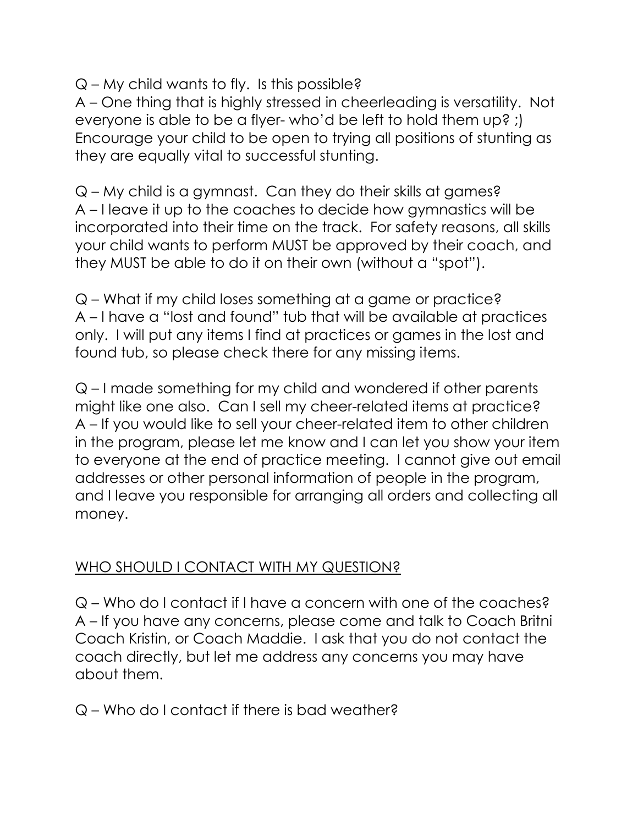$Q$  – My child wants to fly. Is this possible?

A – One thing that is highly stressed in cheerleading is versatility. Not everyone is able to be a flyer- who'd be left to hold them up? ;) Encourage your child to be open to trying all positions of stunting as they are equally vital to successful stunting.

Q – My child is a gymnast. Can they do their skills at games? A – I leave it up to the coaches to decide how gymnastics will be incorporated into their time on the track. For safety reasons, all skills your child wants to perform MUST be approved by their coach, and they MUST be able to do it on their own (without a "spot").

Q – What if my child loses something at a game or practice? A – I have a "lost and found" tub that will be available at practices only. I will put any items I find at practices or games in the lost and found tub, so please check there for any missing items.

Q – I made something for my child and wondered if other parents might like one also. Can I sell my cheer-related items at practice? A – If you would like to sell your cheer-related item to other children in the program, please let me know and I can let you show your item to everyone at the end of practice meeting. I cannot give out email addresses or other personal information of people in the program, and I leave you responsible for arranging all orders and collecting all money.

# WHO SHOULD I CONTACT WITH MY QUESTION?

Q – Who do I contact if I have a concern with one of the coaches? A – If you have any concerns, please come and talk to Coach Britni Coach Kristin, or Coach Maddie. I ask that you do not contact the coach directly, but let me address any concerns you may have about them.

Q – Who do I contact if there is bad weather?